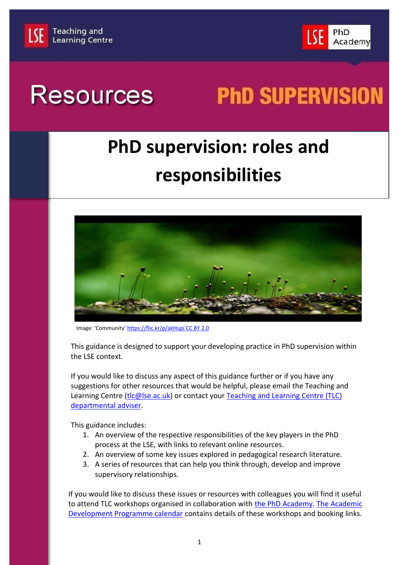



# **Resources**

# **PhD SUPERVISION**

## **PhD supervision: roles and responsibilities**



Image: 'Community' [https://flic.kr/p/akHupi CC BY 2.0](https://flic.kr/p/akHupi%20CC%20BY%202.0)

This guidance is designed to support your developing practice in PhD supervision within the LSE context.

If you would like to discuss any aspect of this guidance further or if you have any suggestions for other resources that would be helpful, please email the Teaching and Learning Centre [\(tlc@lse.ac.uk\)](mailto:tlc@lse.ac.uk) or contact your Teaching and Learning Centre (TLC) [departmental adviser.](http://www.lse.ac.uk/intranet/LSEServices/TLC/departmentalAdvisers.aspx)

This guidance includes:

- 1. An overview of the respective responsibilities of the key players in the PhD process at the LSE, with links to relevant online resources.
- 2. An overview of some key issues explored in pedagogical research literature.
- 3. A series of resources that can help you think through, develop and improve supervisory relationships.

If you would like to discuss these issues or resources with colleagues you will find it useful to attend TLC workshops organised in collaboration with [the PhD Academy.](http://www.lse.ac.uk/study/PhDAcademy/home.aspx) [The Academic](http://www.lse.ac.uk/intranet/LSEServices/TLC/academicStaff/AcademicDevelopmentProgramme.aspx)  [Development Programme calendar](http://www.lse.ac.uk/intranet/LSEServices/TLC/academicStaff/AcademicDevelopmentProgramme.aspx) contains details of these workshops and booking links.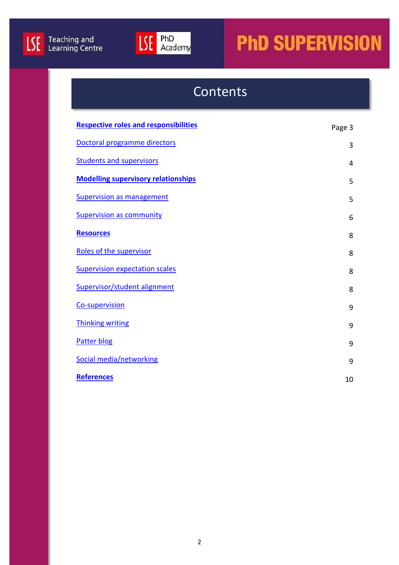



### Contents

| <b>Respective roles and responsibilities</b> | Page 3 |
|----------------------------------------------|--------|
| Doctoral programme directors                 | 3      |
| <b>Students and supervisors</b>              | 4      |
| <b>Modelling supervisory relationships</b>   | 5      |
| <b>Supervision as management</b>             | 5      |
| <b>Supervision as community</b>              | 6      |
| <b>Resources</b>                             | 8      |
| Roles of the supervisor                      | 8      |
| <b>Supervision expectation scales</b>        | 8      |
| Supervisor/student alignment                 | 8      |
| Co-supervision                               | 9      |
| <b>Thinking writing</b>                      | 9      |
| <b>Patter blog</b>                           | 9      |
| Social media/networking                      | 9      |
| <b>References</b>                            | 10     |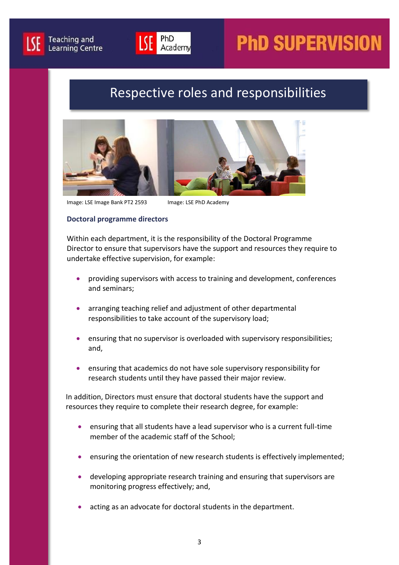



### Respective roles and responsibilities

<span id="page-2-0"></span>

<span id="page-2-1"></span>Image: LSE Image Bank PT2 2593 Image: LSE PhD Academy

#### **Doctoral programme directors**

Within each department, it is the responsibility of the Doctoral Programme Director to ensure that supervisors have the support and resources they require to undertake effective supervision, for example:

- providing supervisors with access to training and development, conferences and seminars;
- arranging teaching relief and adjustment of other departmental responsibilities to take account of the supervisory load;
- ensuring that no supervisor is overloaded with supervisory responsibilities; and,
- ensuring that academics do not have sole supervisory responsibility for research students until they have passed their major review.

In addition, Directors must ensure that doctoral students have the support and resources they require to complete their research degree, for example:

- ensuring that all students have a lead supervisor who is a current full-time member of the academic staff of the School;
- ensuring the orientation of new research students is effectively implemented;
- developing appropriate research training and ensuring that supervisors are monitoring progress effectively; and,
- acting as an advocate for doctoral students in the department.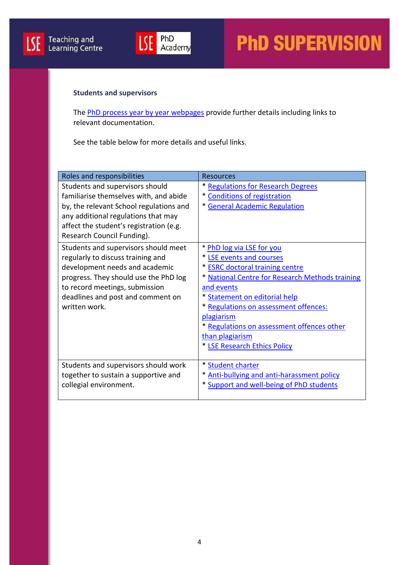

#### <span id="page-3-0"></span>**Students and supervisors**

The [PhD process year by year webpages](http://www.lse.ac.uk/study/PhDAcademy/PhD-Overview-Year-by-Year.aspx) provide further details including links to relevant documentation.

See the table below for more details and useful links.

| Roles and responsibilities              | <b>Resources</b>                                |
|-----------------------------------------|-------------------------------------------------|
| Students and supervisors should         | * Regulations for Research Degrees              |
| familiarise themselves with, and abide  | * Conditions of registration                    |
| by, the relevant School regulations and | * General Academic Regulation                   |
| any additional regulations that may     |                                                 |
| affect the student's registration (e.g. |                                                 |
| Research Council Funding).              |                                                 |
| Students and supervisors should meet    | * PhD log via LSE for you                       |
| regularly to discuss training and       | * LSE events and courses                        |
| development needs and academic          | * <b>ESRC</b> doctoral training centre          |
| progress. They should use the PhD log   | * National Centre for Research Methods training |
| to record meetings, submission          | and events                                      |
| deadlines and post and comment on       | * Statement on editorial help                   |
| written work.                           | * Regulations on assessment offences:           |
|                                         | plagiarism                                      |
|                                         | * Regulations on assessment offences other      |
|                                         | than plagiarism                                 |
|                                         | * LSE Research Ethics Policy                    |
|                                         |                                                 |
| Students and supervisors should work    | * Student charter                               |
| together to sustain a supportive and    | * Anti-bullying and anti-harassment policy      |
| collegial environment.                  | * Support and well-being of PhD students        |
|                                         |                                                 |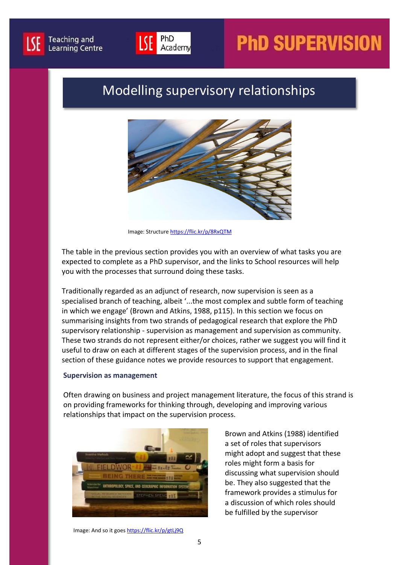



### <span id="page-4-0"></span>Modelling supervisory relationships



Image: Structure<https://flic.kr/p/8RxQTM>

The table in the previous section provides you with an overview of what tasks you are expected to complete as a PhD supervisor, and the links to School resources will help you with the processes that surround doing these tasks.

Traditionally regarded as an adjunct of research, now supervision is seen as a specialised branch of teaching, albeit '...the most complex and subtle form of teaching in which we engage' (Brown and Atkins, 1988, p115). In this section we focus on summarising insights from two strands of pedagogical research that explore the PhD supervisory relationship - supervision as management and supervision as community. These two strands do not represent either/or choices, rather we suggest you will find it useful to draw on each at different stages of the supervision process, and in the final section of these guidance notes we provide resources to support that engagement.

#### <span id="page-4-1"></span>**Supervision as management**

Often drawing on business and project management literature, the focus of this strand is on providing frameworks for thinking through, developing and improving various relationships that impact on the supervision process.



Brown and Atkins (1988) identified a set of roles that supervisors might adopt and suggest that these roles might form a basis for discussing what supervision should be. They also suggested that the framework provides a stimulus for a discussion of which roles should be fulfilled by the supervisor

Image: And so it goe[s https://flic.kr/p/gtLj9Q](https://flic.kr/p/gtLj9Q)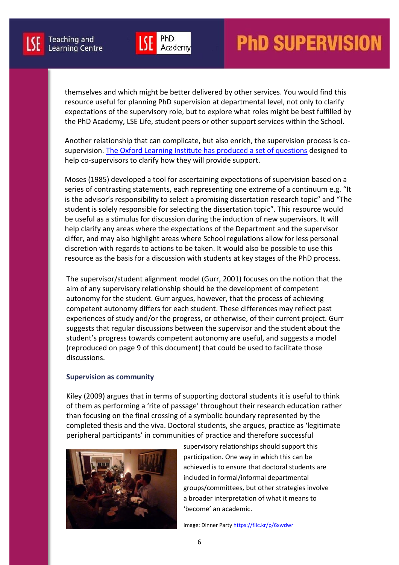

themselves and which might be better delivered by other services. You would find this resource useful for planning PhD supervision at departmental level, not only to clarify expectations of the supervisory role, but to explore what roles might be best fulfilled by the PhD Academy, LSE Life, student peers or other support services within the School.

Another relationship that can complicate, but also enrich, the supervision process is cosupervision. [The Oxford Learning Institute has produced a set of questions](http://supervision.learning.ox.ac.uk/) designed to help co-supervisors to clarify how they will provide support.

Moses (1985) developed a tool for ascertaining expectations of supervision based on a series of contrasting statements, each representing one extreme of a continuum e.g. "It is the advisor's responsibility to select a promising dissertation research topic" and "The student is solely responsible for selecting the dissertation topic". This resource would be useful as a stimulus for discussion during the induction of new supervisors. It will help clarify any areas where the expectations of the Department and the supervisor differ, and may also highlight areas where School regulations allow for less personal discretion with regards to actions to be taken. It would also be possible to use this resource as the basis for a discussion with students at key stages of the PhD process.

The supervisor/student alignment model (Gurr, 2001) focuses on the notion that the aim of any supervisory relationship should be the development of competent autonomy for the student. Gurr argues, however, that the process of achieving competent autonomy differs for each student. These differences may reflect past experiences of study and/or the progress, or otherwise, of their current project. Gurr suggests that regular discussions between the supervisor and the student about the student's progress towards competent autonomy are useful, and suggests a model (reproduced on page 9 of this document) that could be used to facilitate those discussions.

#### <span id="page-5-0"></span>**Supervision as community**

Kiley (2009) argues that in terms of supporting doctoral students it is useful to think of them as performing a 'rite of passage' throughout their research education rather than focusing on the final crossing of a symbolic boundary represented by the completed thesis and the viva. Doctoral students, she argues, practice as 'legitimate peripheral participants' in communities of practice and therefore successful



supervisory relationships should support this participation. One way in which this can be achieved is to ensure that doctoral students are included in formal/informal departmental groups/committees, but other strategies involve a broader interpretation of what it means to 'become' an academic.

Image: Dinner Part[y https://flic.kr/p/6xwdwr](https://flic.kr/p/6xwdwr)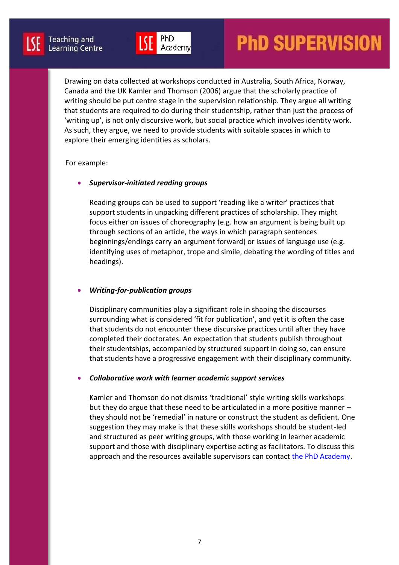Drawing on data collected at workshops conducted in Australia, South Africa, Norway, Canada and the UK Kamler and Thomson (2006) argue that the scholarly practice of writing should be put centre stage in the supervision relationship. They argue all writing that students are required to do during their studentship, rather than just the process of 'writing up', is not only discursive work, but social practice which involves identity work. As such, they argue, we need to provide students with suitable spaces in which to explore their emerging identities as scholars.

#### For example:

#### *Supervisor-initiated reading groups*

Reading groups can be used to support 'reading like a writer' practices that support students in unpacking different practices of scholarship. They might focus either on issues of choreography (e.g. how an argument is being built up through sections of an article, the ways in which paragraph sentences beginnings/endings carry an argument forward) or issues of language use (e.g. identifying uses of metaphor, trope and simile, debating the wording of titles and headings).

#### *Writing-for-publication groups*

Disciplinary communities play a significant role in shaping the discourses surrounding what is considered 'fit for publication', and yet it is often the case that students do not encounter these discursive practices until after they have completed their doctorates. An expectation that students publish throughout their studentships, accompanied by structured support in doing so, can ensure that students have a progressive engagement with their disciplinary community.

#### *Collaborative work with learner academic support services*

Kamler and Thomson do not dismiss 'traditional' style writing skills workshops but they do argue that these need to be articulated in a more positive manner – they should not be 'remedial' in nature or construct the student as deficient. One suggestion they may make is that these skills workshops should be student-led and structured as peer writing groups, with those working in learner academic support and those with disciplinary expertise acting as facilitators. To discuss this approach and the resources available supervisors can contact [the PhD Academy.](http://www.lse.ac.uk/study/PhDAcademy/home.aspx)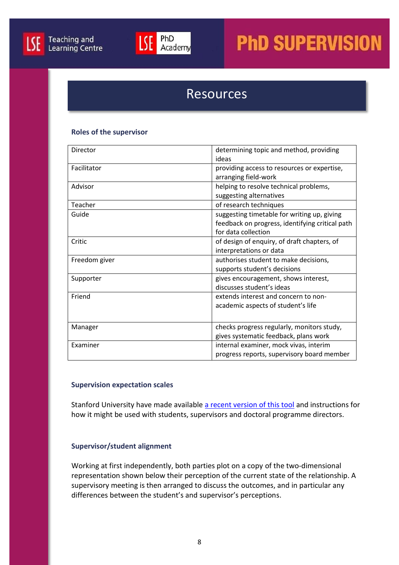



### **Resources**

#### <span id="page-7-1"></span><span id="page-7-0"></span>**Roles of the supervisor**

| Director      | determining topic and method, providing         |
|---------------|-------------------------------------------------|
|               | ideas                                           |
| Facilitator   | providing access to resources or expertise,     |
|               | arranging field-work                            |
| Advisor       | helping to resolve technical problems,          |
|               | suggesting alternatives                         |
| Teacher       | of research techniques                          |
| Guide         | suggesting timetable for writing up, giving     |
|               | feedback on progress, identifying critical path |
|               | for data collection                             |
| Critic        | of design of enquiry, of draft chapters, of     |
|               | interpretations or data                         |
| Freedom giver | authorises student to make decisions,           |
|               | supports student's decisions                    |
| Supporter     | gives encouragement, shows interest,            |
|               | discusses student's ideas                       |
| Friend        | extends interest and concern to non-            |
|               | academic aspects of student's life              |
|               |                                                 |
| Manager       | checks progress regularly, monitors study,      |
|               | gives systematic feedback, plans work           |
| Examiner      | internal examiner, mock vivas, interim          |
|               | progress reports, supervisory board member      |

#### <span id="page-7-2"></span>**Supervision expectation scales**

Stanford University have made available [a recent version of this tool](https://pangea.stanford.edu/programs/eiper/sites/default/files/adv_expectations-VPGE.pdf) and instructions for how it might be used with students, supervisors and doctoral programme directors.

#### <span id="page-7-3"></span>**Supervisor/student alignment**

Working at first independently, both parties plot on a copy of the two-dimensional representation shown below their perception of the current state of the relationship. A supervisory meeting is then arranged to discuss the outcomes, and in particular any differences between the student's and supervisor's perceptions.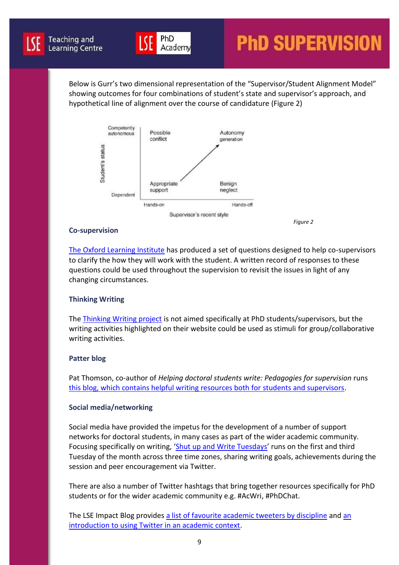

Below is Gurr's two dimensional representation of the "Supervisor/Student Alignment Model" showing outcomes for four combinations of student's state and supervisor's approach, and hypothetical line of alignment over the course of candidature (Figure 2)



PhD

Academy

#### <span id="page-8-0"></span>**Co-supervision**

[The Oxford Learning Institute](http://supervision.learning.ox.ac.uk/) has produced a set of questions designed to help co-supervisors to clarify the how they will work with the student. A written record of responses to these questions could be used throughout the supervision to revisit the issues in light of any changing circumstances.

#### **Thinking Writing**

Th[e Thinking Writing project](http://www.thinkingwriting.qmul.ac.uk/ideas) is not aimed specifically at PhD students/supervisors, but the writing activities highlighted on their website could be used as stimuli for group/collaborative writing activities.

#### <span id="page-8-1"></span>**Patter blog**

Pat Thomson, co-author of *Helping doctoral students write: Pedagogies for supervision* runs [this blog, which contains helpful writing resources both for students and supervisors.](https://patthomson.net/)

#### <span id="page-8-2"></span>**Social media/networking**

Social media have provided the impetus for the development of a number of support networks for doctoral students, in many cases as part of the wider academic community. Focusing specifically on writing, '[Shut up and Write Tuesdays](https://suwtuesdays.wordpress.com/)' runs on the first and third Tuesday of the month across three time zones, sharing writing goals, achievements during the session and peer encouragement via Twitter.

There are also a number of Twitter hashtags that bring together resources specifically for PhD students or for the wider academic community e.g. #AcWri, #PhDChat.

The LSE Impact Blog provides [a list of favourite academic tweeters by discipline](http://blogs.lse.ac.uk/impactofsocialsciences/2011/09/02/academic-tweeters-your-suggestions-in-full/) and [an](http://blogs.lse.ac.uk/politicsandpolicy/twitter-guide/)  [introduction to using Twitter in an academic context.](http://blogs.lse.ac.uk/politicsandpolicy/twitter-guide/)